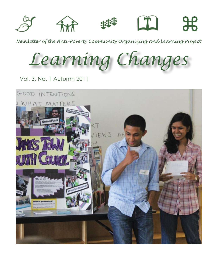

*Newsletter of the Anti-Poverty Community Organizing and Learning Project*

*Learning Changes*

Vol. 3, No. 1 Autumn 2011

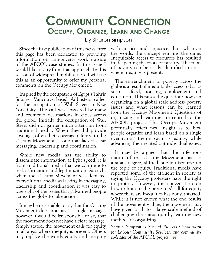### **Community Connection Occupy, Organize, Learn and Change**

by Sharon Simpson

Since the first publication of this newsletter this page has been dedicated to providing information on anti-poverty work outside of the APCOL case studies. In this issue I would like to vary from that approach. In this season of widespread mobilization, I will use this as an opportunity to offer my personal comments on the Occupy Movement.

Inspired by the occupation of Egypt's Tahrir Square, Vancouver-based Adbusters called for the occupation of Wall Street in New York City. The call was answered by many and prompted occupations in cities across the globe. Initially the occupation of Wall Street did not garner much attention from traditional media. When they did provide coverage, often their coverage referred to the Occupy Movement as one that lacked clear messaging, leadership and coordination.

While new media has the ability to disseminate information at light speed, it is from traditional media that we continue to seek affirmation and legitimization. As such, when the Occupy Movement was depicted by traditional media as lacking in messaging, leadership and coordination it was easy to lose sight of the issues that galvanized people across the globe to take action.

It may be reasonable to say that the Occupy Movement does not have a single message, however it would be irresponsible to say that the movement does not have a clear message. Simply stated, the movement calls for equity in all areas where inequity is present. Others may replace the words equity and inequity with justice and injustice, but whatever the words, the concept remains the same. Inequitable access to resources has resulted in deepening the roots of poverty. The roots of poverty can be easily identified in areas where inequity is present.

The entrenchment of poverty across the globe is a result of inequitable access to basics such as food, housing, employment and education. This raises the question: how can organizing on a global scale address poverty issues and what lessons can be learned from the Occupy Movement? Questions of organizing and learning are central to the APCOL project. The Occupy Movement potentially offers new insight as to how people organize and learn based on a single overarching theme such as equity, while advancing their related but individual issues.

It may be argued that the infectious nature of the Occupy Movement has, to a small degree, shifted public discourse on the topic of equity. Traditional media have reported some of the affluent in society as saying the Occupy protesters have the right to protest. However, the conversation on how to honour the protesters' call for equity where there are inequities has not yet started. While it is not known what the end results of the movement will be, the movement may have given birth to a large scale method of challenging the status quo by learning new methods of organizing.

*Sharon Simpson is Special Projects Coordinator for Labour Community Services, and community co-leader of the APCOL project.* z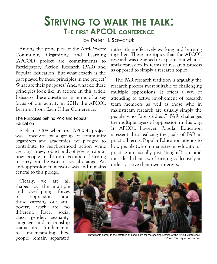### **Striving to walk the talk: The first APCOL conference**

by Peter H. Sawchuk

Among the principles of the Anti-Poverty Community Organizing and Learning (APCOL) project are commitments to Participatory Action Research (PAR) and Popular Education. But what exactly is the part played by these principles in the project? What are their purposes? And, what do these principles look like in action? In this article I discuss these questions in terms of a key focus of our activity in 2011: the APCOL Learning from Each Other Conference.

#### The Purposes behind PAR and Popular Education

Back in 2008 when the APCOL project was conceived by a group of community organizers and academics, we pledged to contribute to neighborhood action while creating a new, robust body of research about how people in Toronto go about learning to carry out the work of social change. An anti-oppression framework was and remains central to this pledge.

Clearly, we are all shaped by the multiple and overlapping forces of oppression and those carrying out antipoverty work are no different. Race, social class, gender, sexuality, language and citizenship status are fundamental to understanding how people remain separated

rather than effectively working and learning together. These are topics that the APCOL research was designed to explore, but what of anti-oppression in terms of research process as opposed to simply a research topic?

The PAR research tradition is arguably the research process most suitable to challenging multiple oppressions. It offers a way of attending to active involvement of research team members as well as those who in mainstream research are usually simply the people who "are studied." PAR challenges the multiple layers of oppression in this way. In APCOL however, Popular Education is essential to realizing the goals of PAR in practical terms. Popular Education attends to how people (who in mainstream educational practice are usually just "taught") can and must lead their own learning collectively in order to serve their own interests.



Participants gather in the cafeteria at FoodShare for the opening session of the APCOL conference. Photo courtesy of Joe Curnow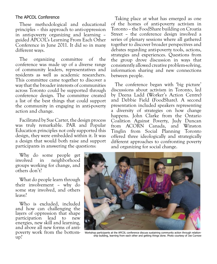### The APCOL Conference

These methodological and educational principles – this approach to anti-oppression in anti-poverty organizing and learning – guided APCOL's Learning From Each Other Conference in June 2011. It did so in many different ways.

The organizing committee of the conference was made up of a diverse range of community leaders, representatives and residents as well as academic researchers. This committee came together to discover a way that the broader interests of communities across Toronto could be supported through conference design. The committee created a list of the best things that could support the community in engaging in anti-poverty action and change.

Facilitated by Sue Carter, the design process was truly remarkable. PAR and Popular Education principles not only supported this design, they were embedded within it. It was a design that would both raise and support participants in answering the questions:

Why do some people get involved in neighborhood groups working for change, and others don't?

What do people learn through their involvement – why do some stay involved, and others leave?

Who is excluded, included and how can challenging the layers of oppression that shape participation lead to new energies, new skill and learning, and above all new forms of antipoverty work from the bottomup?

Taking place at what has emerged as one of the homes of anti-poverty activism in Toronto – the FoodShare building on Croatia Street – the conference design involved a series of plenary sessions where all gathered together to discover broader perspectives and debates regarding anti-poverty tools, actions, strategies and experiences. Questions from the group drove discussion in ways that consistently allowed creative problem-solving, information sharing and new connections between people.

The conference began with 'big picture' discussions about activism in Toronto, led by Deena Ladd (Worker's Action Centre) and Debbie Field (FoodShare). A second presentation included speakers representing a diversity of strategies on how change happens. John Clarke from the Ontario Coalition Against Poverty, Judy Duncan from ACORN Canada, and Winston Tinglin from Social Planning Toronto offered three ideologically and strategically different approaches to confronting poverty and organizing for social change.



Workshop participants at the APCOL conference discuss sustaining community action through relationship building, learning from each other and getting things done. Photo courtesy of Joe Curnow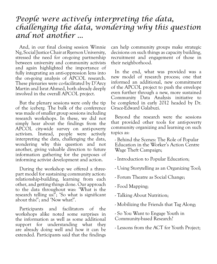### *People were actively interpreting the data, challenging the data, wondering why this question and not another ...*

And, in our final closing session Winnie Ng, Social Justice Chair at Ryerson University, stressed the need for on-going partnership between university and community activists and again highlighted the importance of fully integrating an anti-oppression lens into the on-going analysis of APCOL research. These plenaries were co-facilitated by D'Arcy Martin and Israt Ahmed, both already deeply involved in the overall APCOL project.

But the plenary sessions were only the tip of the iceberg. The bulk of the conference was made of smaller group sessions including research workshops. In these, we did not simply hear about the findings from the APCOL city-wide survey on anti-poverty activism. Instead, people were actively interpreting the data, challenging the data, wondering why this question and not another, giving valuable direction to future information gathering for the purposes of informing activist development and action.

During the workshop we offered a threepart model for sustaining community action: relationship-building, learning from each other, and getting things done. Our approach to the data throughout was: 'What is the research telling us?'; 'So what is significant about this?'; and 'Now what?'.

Participants and facilitators of the workshops alike noted some surprises in the information as well as some additional support for understanding what they are already doing well and how it can be extended. Participants said that the findings can help community groups make strategic decisions on such things as capacity building, recruitment and engagement of those in their neighborhood.

In the end, what was provided was a new model of research process; one that informed an additional, new commitment of the APCOL project to push the envelope even further through a new, more sustained Community Data Analysis initiative to be completed in early 2012 headed by Dr. Grace-Edward Galabuzi.

Beyond the research were the sessions that provided other tools for anti-poverty community organizing and learning on such topics as:

- Behind the Scenes: The Role of Popular Education in the Worker's Action Centre Wage Theft Campaign;

- Introduction to Popular Education;

- Using Storytelling as an Organizing Tool;
- Forum Theatre as Social Change;

- Food Mapping;

- Talking About Nutrition;
- Mobilizing the Friends that Tag Along;

- So You Want to Engage Youth in Community-based Research?

- Lessons from the ACT for Youth Project;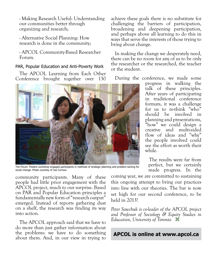- Making Research Useful: Understanding our communities better through organizing and research;

- Alternative Social Planning: How research is done in the community;

- APCOL Community-Based Researcher Forum.

### PAR, Popular Education and Anti-Poverty Work

The APCOL Learning from Each Other Conference brought together over 130



The Forum Theatre workshop engaged participants in methods of strategic planning and problem-solving for social change. Photo courtesy of Joe Curnow

community participants. Many of these people had little prior engagement with the APCOL project, much to our surprise. Based on PAR and Popular Education principles a fundamentally new form of "research output" emerged. Instead of reports gathering dust on a shelf, the research was finding its way into action.

The APCOL approach said that we have to do more than just gather information about the problems: we have to do something about them. And, in our view in trying to achieve these goals there is no substitute for challenging the barriers of participation, broadening and deepening participation, and perhaps above all learning to do this in ways that serve the interests of those trying to bring about change.

In making the change we desperately need, there can be no room for any of us to be only the researcher or the researched, the teacher or the student.

During the conference, we made some

progress in walking the talk of these principles. After years of participating in traditional conference formats, it was a challenge for us to re-think "who" should be involved in planning and presentations, "how" we could design a creative and multi-sided flow of ideas and "why" the people involved could see the effort as worth their while.

The results were far from perfect, but we certainly made progress. In the

coming year, we are committed to sustaining this ongoing attempt to bring our practices into line with our theories. The bar is now set high for our second conference, to be held in 2013!

*Peter Sawchuk is co-leader of the APCOL project and Professor of Sociology & Equity Studies in Education, University of Toronto* z

### **[APCOL is online at www.apcol.ca](http://www.apcol.ca)**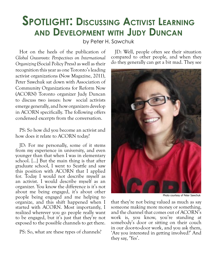## **Spotlight: Discussing Activist Learning and Development with Judy Duncan**

by Peter H. Sawchuk

Hot on the heels of the publication of *Global Grassroots: Perspectives on International Organizing* (Social Policy Press) as well as their recognition this year as one Toronto's leading activist organizations (Now Magazine, 2011), Peter Sawchuk sat down with Association of Community Organizations for Reform Now (ACORN) Toronto organizer Judy Duncan to discuss two issues: how social activists emerge generally, and how organizers develop in ACORN specifically. The following offers condensed excerpts from the conversation.

PS: So how did you become an activist and how does it relate to ACORN today?

JD: For me personally, some of it stems from my experience in university, and even younger than that when I was in elementary school. [...] But the main thing is that after graduate school, I went to Seattle and saw this position with ACORN that I applied for. Today I would not describe myself as an activist. I would describe myself as an organizer. You know the difference is it's not about me being engaged, it's about other people being engaged and me helping to organize, and this shift happened when I started with ACORN. Most importantly, I realized wherever you go people really want to be engaged, but it's just that they're not exposed to the possible channels to get there.

PS: So, what are these types of channels?

JD: Well, people often see their situation compared to other people, and when they do they generally can get a bit mad. They see



Photo courtesy of Peter Sawchuk

that they're not being valued as much as say someone making more money or something, and the channel that comes out of ACORN's work is, you know, you're standing at somebody's door or sitting on their couch in our door-to-door work, and you ask them, 'Are you interested in getting involved?' And they say, 'Yes'.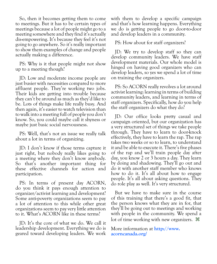So, then it becomes getting them to come to meetings. But it has to be certain types of meetings because a lot of people might go to a meeting somewhere and they find it's actually dis-empowering. It's because they feel it's not going to go anywhere. So it's really important to show them examples of change and people actually making a difference.

PS: Why is it that people might not show up to a meeting though?

JD: Low and moderate income people are just busier with necessities compared to more affluent people. They're working two jobs. Their kids are getting into trouble because they can't be around as much as they'd like to be. Lots of things make life really busy. And then again, it's easier to watch television than to walk into a meeting full of people you don't know. So, you could maybe call it shyness or maybe just basic social nervousness.

PS: Well, that's not an issue we really talk about a lot in terms of organizing.

JD: I don't know if those terms capture it just right, but nobody really likes going to a meeting where they don't know anybody. So that's another important thing for these effective channels for action and participation.

PS: In terms of present day ACORN, do you think it pays enough attention to organizer/activist learning and development? Some anti-poverty organizations seem to pay a lot of attention to this while other great organizations seem to pay very little attention to it. What's ACORN like in these terms?

JD: It's the core of what we do. We call it leadership development. Everything we do is geared toward developing leaders. We work with them to develop a specific campaign and that's how learning happens. Everything we do is getting people to go door-to-door and develop leaders in a community.

PS: How about for staff organizers?

JD: We try to develop staff so they can develop community leaders. We have staff development materials. Our whole model is hinged on having good organizers who can develop leaders, so yes we spend a lot of time on training the organizers.

PS: So ACORN really revolves a lot around activist learning: learning in terms of building community leaders, and learning in terms of staff organizers. Specifically, how do you help the staff organizers do what they do?

JD: Our office looks pretty casual and campaign oriented, but our organization has a very structured set of things we take people through. They have to learn to door-knock effectively, they have to learn the rap. The rap takes two weeks or so to learn, to understand it and be able to execute it. There's five phases of the rap and we'll train people day after day, you know 2 or 3 hours a day. They learn by doing and shadowing. They'll go out and do it with another staff member who knows how to do it. It's all about how to engage people. It's all about asking questions. They do role play as well. It's very structured.

But we have to make sure in the course of this training that there's a good fit, that the person knows what they are in for, that they'll be going out to meetings and working with people in the community. We spend a lot of time working with new organizers.  $\mathcal{H}$ 

[More information at](http://www.acorncanada.org/) **http://www. [acorncanada.org](http://www.acorncanada.org/)/**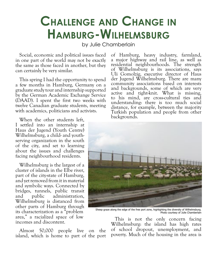# **Challenge and Change in Hamburg-Wilhelmsburg**

by Julie Chamberlain

Social, economic and political issues faced in one part of the world may not be exactly the same as those faced in another, but they can certainly be very similar.

This spring I had the opportunity to spend a few months in Hamburg, Germany on a graduate study tour and internship supported by the German Academic Exchange Service (DAAD). I spent the first two weeks with twelve Canadian graduate students, meeting with academics, politicians and activists.

When the other students left, I settled into an internship at Haus der Jugend (Youth Centre) Wilhelmsburg, a child- and youthserving organization in the south of the city, and set to learning about the issues and challenges facing neighbourhood residents.

Wilhelmsburg is the largest of a cluster of islands in the Elbe river, part of the city-state of Hamburg, and yet removed from it in material and symbolic ways. Connected by bridges, tunnels, public transit and public administration, Wilhelmsburg is distanced from other parts of Hamburg through its characterization as a "problem area," a racialized space of low incomes and discontent.

Almost 50,000 people live on the island, which is home to part of the port of Hamburg, heavy industry, farmland, a major highway and rail line, as well as residential neighbourhoods. The strength of Wilhelmsburg is its associations, says Uli Gomolzig, executive director of Haus der Jugend Wilhelmsburg. There are many community associations based on interests and backgrounds, some of which are very active and tight-knit. What is missing, to his mind, are cross-cultural ties and understanding: there is too much social distance, for example, between the majority Turkish population and people from other backgrounds.



Sheep graze along the edge of the free port zone, highlighting the diversity of Wilhelmsburg. Photo courtesy of Julie Chamberlain

This is not the only concern facing Wilhelmsburg: the island has high rates of school dropout, unemployment, and poverty. Much of the housing in the area is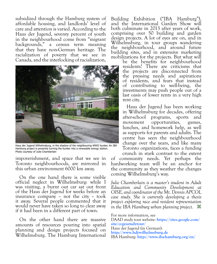subsidized through the Hamburg system of affordable housing, and landlords' level of care and attention is varied. According to the Haus der Jugend, seventy percent of youth in the neighbourhood come from "migrant backgrounds," a census term meaning that they have non-German heritage. The racialization of poverty that we see in Canada, and the interlocking of racialization,



Haus der Jugend Wilhelmsburg, in the shadow of the neighbouring WWII bunker. An IBA Hamburg project is presently turning the bunker into a renewable energy station. Photo courtesy of Julie Chamberlain

impoverishment, and space that we see in Toronto neighbourhoods, are mirrored in this urban environment 6000 km away.

On the one hand there is some visible official neglect in Wilhelmsburg: while I was visiting, a burnt out car sat out front of the Haus der Jugend for weeks before an insurance company – not the city – took it away. Several people commented that it would never have taken so long to clear away if it had been in a different part of town.

On the other hand there are massive amounts of resources pouring into spatial planning and design projects focused on Wilhelmsburg. The Hamburg International

Building Exhibition ("IBA Hamburg"), and the International Garden Show will both culminate in 2013 after years of work, comprising over 50 building and garden design projects. A lot of eyes are on, and in Wilhelmsburg, in tour groups wandering the neighbourhood, and around future building sites, and in extensive marketing mobilizations for the projects. But what will

be the benefits for neighbourhood residents? There are criticisms that the projects are disconnected from the pressing needs and aspirations of residents, and fears that instead of contributing to well-being, the investments may push people out of a last oasis of lower rents in a very high rent city.

Haus der Jugend has been working in Wilhelmsburg for decades, offering after-school programs, sports and movement opportunities, games, lunches, and homework help, as well as supports for parents and adults. The centre has seen the neighbourhood change over the years, and like many Toronto organizations, faces a funding

crunch in stark contrast to the extent of community needs. Yet perhaps the hardworking team will be an anchor for the community as they weather the changes coming Wilhelmsburg's way.

*Julie Chamberlain is a master's student in Adult Education and Community Development at OISE, and coordinator of the Mt. Dennis APCOL case study. She is currently developing a thesis project exploring race and resident representation in the IBA Hamburg urban planning project.* z

For more information, see [DAAD study tour website:](https://sites.google.com/site/ccgesstudytour/) **https://sites.google.com/ [site/ccgesstudytour/](https://sites.google.com/site/ccgesstudytour/)** [Haus der Jugend \(in German\):](http://www.hdj-wilhelmsburg.de) **<http://www.hdj-wilhelmsburg.de>** IBA Hamburg: **<http://www.iba-hamburg.org/en/>**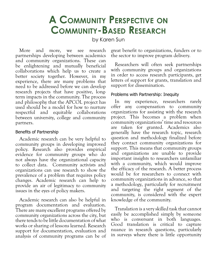### **A Community Perspective on Community-Based Research**

by Karen Sun

More and more, we see research partnerships developing between academics and community organizations. These can be enlightening and mutually beneficial collaborations which help us to create a better society together. However, in my experience, there are many problems that need to be addressed before we can develop research projects that have positive, longterm impacts in the community. The process and philosophy that the APCOL project has used should be a model for how to nurture respectful and equitable collaborations between university, college and community partners.

#### Benefits of Partnership

Academic research can be very helpful to community groups in developing improved policy. Research also provides empirical evidence for community groups who do not always have the organizational capacity to collect data. Community activists and organizations can use research to show the prevalence of a problem that requires policy changes. Academic research can help to provide an air of legitimacy to community issues in the eyes of policy makers.

Academic research can also be helpful in program documentation and evaluation. There are many excellent programs offered by community organizations across the city, but there tends to be little documentation of what works or sharing of lessons learned. Research support for documentation, evaluation and analysis of community programs can be of

great benefit to organizations, funders or to the sector to improve program delivery.

Researchers will often seek partnerships with community groups and organizations in order to access research participants, get letters of support for grants, translation and support for dissemination.

### Problems with Partnership: Inequity

In my experience, researchers rarely offer any compensation to community organizations for assisting with the research project. This becomes a problem when community organizations' time and resources are taken for granted. Academics also generally have the research topic, research question and methodology finalized before they contact community organizations for support. This means that community groups and organizations are unable to provide important insights to researchers unfamiliar with a community, which would improve the efficacy of the research. A better process would be for researchers to connect with community organizations in advance, so that a methodology, particularly for recruitment and targeting the right segment of the community, is considered with the expert knowledge of the community.

Translation is a very skilled task that cannot easily be accomplished simply by someone who is conversant in both languages. Good translation is critical to capture nuance in research questions, particularly in surveys where there is little opportunity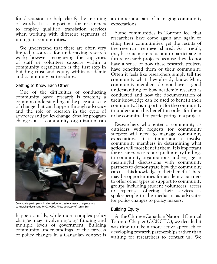for discussion to help clarify the meaning of words. It is important for researchers to employ qualified translation services when working with different segments of immigrant communities.

We understand that there are often very limited resources for undertaking research work; however recognizing the capacities of staff or volunteer capacity within a community organization is the first step in building trust and equity within academic and community partnerships.

#### Getting to Know Each Other

One of the difficulties of conducting community based research is reaching a common understanding of the pace and scale of change that can happen through advocacy and the role of research in the cycle of advocacy and policy change. Smaller program changes at a community organization can



Community participants in discussion to create a research agenda and partnership document for CCNCTO. Photo courtesy of Karen Sun

happen quickly, while more complex policy changes may involve ongoing funding and multiple levels of government. Building community understandings of the process of policy changes in a Canadian context is

an important part of managing community expectations.

Some communities in Toronto feel that researchers have come again and again to study their communities, yet the results of the research are never shared. As a result, they become more reluctant to participate in future research projects because they do not have a sense of how these research projects have benefitted them or their community. Often it feels like researchers simply tell the community what they already know. Many community members do not have a good understanding of how academic research is conducted and how the documentation of their knowledge can be used to benefit their community. It is important for the community to understand this benefit in order for them to be committed to participating in a project.

Researchers who enter a community as outsiders with requests for community support will need to manage community expectations. It is important to involve community members in determining what actions will most benefit them. It is important for researchers to report preliminary findings to community organizations and engage in meaningful discussions with community partners to demonstrate how the community can use this knowledge to their benefit. There may be opportunities for academic partners to offer other types of support to community groups including student volunteers, access to expertise, offering their services as spokespeople to the media or as advocates for policy changes to policy makers.

#### Building Equity

At the Chinese Canadian National Council Toronto Chapter (CCNCTO), we decided it was time to take a more active approach to developing research partnerships rather than waiting for researchers to contact us. We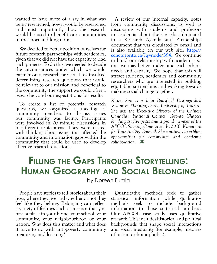wanted to have more of a say in what was being researched, how it would be researched and most importantly, how the research would be used to benefit our communities in the short and long term.

We decided to better position ourselves for future research partnerships with academics, given that we did not have the capacity to lead such projects. To do this, we needed to decide the circumstances under which we would partner on a research project. This involved determining research questions that would be relevant to our mission and beneficial to the community, the support we could offer a researcher, and our expectations for results.

To create a list of potential research questions, we organized a meeting of community members to discuss issues our community was facing. Participants were involved in 20 minute discussions in 3 different topic areas. They were tasked with thinking about issues that affected the community and information gaps within the community that could be used to develop effective research questions.

A review of our internal capacity, notes from community discussions, as well as discussions with students and professors in academia about their needs culminated in a Research Agenda and Partnerships document that was circulated by e-mail and is also available on our web site: **[http://](http://ccnctoronto.ca/?q=node/394) [ccnctoronto.ca/?q=node/394.](http://ccnctoronto.ca/?q=node/394)** We continue to build our relationship with academics so that we may better understand each other's needs and capacity. We hope that this will attract students, academics and community researchers who are interested in building equitable partnerships and working towards making social change together.

*Karen Sun is a John Bousfield Distinguished Visitor in Planning at the University of Toronto. She was the Executive Director of the Chinese Canadian National Council Toronto Chapter for the past five years and a proud member of the APCOL Steering Committee. In 2010, Karen ran for Toronto City Council. She continues to explore opportunities for community and academic collaboration.* z

## **Filling the Gaps Through Storytelling: Human Geography and Social Belonging**

by Doreen Fumia

People have stories to tell, stories about their lives, where they live and whether or not they feel like they belong. Belonging can reflect a variety of feelings such as a sense that you have a place in your home, your school, your community, your neighbourhood or your nation. Why does this matter and what does it have to do with anti-poverty community organizing and learning?

Quantitative methods seek to gather statistical information while qualitative methods seek to include background information to those statistical numbers. Our APCOL case study uses qualitative research. This includes historical and political backgrounds that shape social interactions and social inequality (for example, histories of racism or homophobia).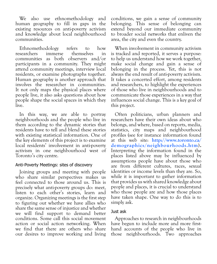We also use ethnomethodology and human geography to fill in gaps in the existing resources on anti-poverty activism and knowledge about local neighbourhood communities.

Ethnomethodology refers to how researchers communities as both observers and/or participants in a community. They might attend community meetings, interview local residents, or examine photographs together. Human geography is another approach that involves the researcher in communities. It not only maps the physical places where people live, it also asks questions about how people shape the social spaces in which they live.

In this way, we are able to portray neighbourhoods and the people who live in them according to the dynamic stories that residents have to tell and blend these stories with existing statistical information. One of the key elements of this project is to examine local residents' involvement in anti-poverty activism in one neighbourhood west of Toronto's city centre.

### Anti-Poverty Meetings: sites of discovery

Joining groups and meeting with people who share similar perspectives makes us feel connected to those around us. This is precisely what anti-poverty groups do: meet, listen to each other's stories, learn and organize. Organizing meetings is the first step to figuring out whether we have allies who share the same sense of injustice and whether we will find support to demand better conditions. Some call this social movement action or social action networking. When we find that there are others who share our desires to improve working and living

conditions, we gain a sense of community belonging. This sense of belonging can extend beyond our immediate community to broader social networks that enliven the area, the city and even the country.

When involvement in community activism is tracked and reported, it serves a purpose: to help us understand how we work together, make social change and gain a sense of belonging in the process. Yet, this is not always the end result of anti-poverty activism. It takes a concerted effort, among residents and researchers, to highlight the experiences of those who live in neighbourhoods and to communicate those experiences in a way that influences social change. This is a key goal of this project.

Often politicians, urban planners and researchers have their own ideas about who belongs, and where, based on reports, media, statistics, city maps and neighbourhood profiles (see for instance information found at this web site: **[http://www.toronto.ca/](http://www.toronto.ca/demographics/neighbourhoods.htm) [demographics/neighbourhoods.htm\)](http://www.toronto.ca/demographics/neighbourhoods.htm).** Interpreting the information found in the places listed above may be influenced by assumptions people have about those who are from different cultures, races, sexual identities or income levels than they are. So, while it is important to gather information that provides us with shared knowledge about people and places, it is crucial to understand who those people are and how those places have taken shape. One way to do this is to simply ask.

### Just ask

Approaches to research in neighbourhoods have begun to include more and more firsthand accounts of the people who live in those neighbourhoods. Two approaches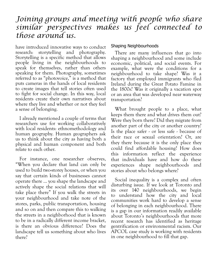### *Joining groups and meeting with people who share similar perspectives makes us feel connected to those around us.*

have introduced innovative ways to conduct research: storytelling and photography. Storytelling is a specific method that allows people living in the neighbourhoods to speak for themselves, rather than others speaking for them. Photography, sometimes referred to as "photovoice," is a method that puts cameras in the hands of local residents to create images that tell stories often used to fight for social change. In this way, local residents create their own narratives about where they live and whether or not they feel a sense of belonging.

I already mentioned a couple of terms that researchers use for working collaboratively with local residents: ethnomethodology and human geography. Human geographers ask us to think about the city as having both a physical and human component and both relate to each other.

For instance, one researcher observes, "When you declare that land can only be used to build two-storey houses, or when you say that certain kinds of businesses cannot operate there … you shape the landscape and actively shape the social relations that will take place there" If you walk the streets in your neighbourhood and take note of the stores, parks, public transportation, housing and so on and then compare this to walking the streets in a neighborhood that is known to be in a radically different income bracket, is there an obvious difference? Does the landscape tell us something about who lives there?

#### Shaping Neighbourhoods

There are many influences that go into shaping a neighbourhood and some include economic, political, and social events. For example, what were the conditions for a neighbourhood to take shape? Was it a factory that employed immigrants who fled Ireland during the Great Potato Famine in the 1800s? Was it originally a vacation spot or an area that was developed near waterway transportation?

What brought people to a place, what keeps them there and what drives them out? Were they born there? Did they migrate from another part of the city or another country? Is the place safer - or less safe - because of their race or sexual orientation? Or, are they there because it is the only place they could find affordable housing? How does this information reflect the experience that individuals have and how do these experiences shape neighbourhoods and stories about who belongs where?

Social inequality is a complex and often disturbing issue. If we look at Toronto and its over 140 neighbourhoods, we begin to understand how the city and local communities work hard to develop a sense of belonging in each neighbourhood. There is a gap in our information readily available about Toronto's neighbourhoods that more recent research has identified as heritage gentrification or environmental racism. Our APCOL case study is working with residents in one neighbourhood to fill that gap.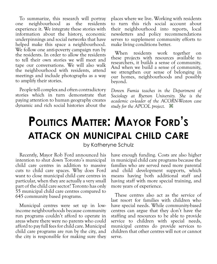To summarize, this research will portray one neighbourhood as the residents experience it. We integrate these stories with information about the history, economic underpinnings and social networks that have helped make this space a neighbourhood. We follow one anti-poverty campaign run by the residents. In order to allow the residents to tell their own stories we will meet and tape our conversations. We will also walk the neighbourhood with residents, attend meetings and include photographs as a way to amplify their stories.

People tell complex and often contradictory stories which in turn demonstrate that paying attention to human geography creates dynamic and rich social histories about the

places where we live. Working with residents to turn this rich social account about their neighbourhood into reports, local newsletters and policy recommendations serves to supplement community efforts to make living conditions better.

When residents work together on these projects with resources available to researchers, it builds a sense of community. And when we build a sense of community, we strengthen our sense of belonging in our homes, neighbourhoods and possibly beyond.

*Doreen Fumia teaches in the Department of Sociology at Ryerson University. She is the academic co-leader of the ACORN-Weston case study for the APCOL project.* z

# **Politics Matter: Mayor Ford's attack on municipal child care**

### by Katheryne Schulz

Recently, Mayor Rob Ford announced his intention to shut down Toronto's municipal child care centres in addition to massive cuts to child care spaces. Why does Ford want to close municipal child care centres in particular, when they are actually a very small part of the child care sector? Toronto has only 55 municipal child care centres compared to 645 community based programs.

Municipal centres were set up in lowincome neighbourhoods because community run programs couldn't afford to operate in areas where there were no parents who could afford to pay full fees for child care. Municipal child care programs are run by the city, and the city is responsible for making sure they have enough funding. Costs are also higher in municipal child care programs because the families who are served need more parental and child development supports, which means having both additional staff and having staff with more special training, and more years of experience.

These centres also act as the service of last resort for families with children who have special needs. While community-based centres can argue that they don't have the staffing and resources to be able to provide service to children with special needs, municipal centres do provide services to children that other centres will not or cannot serve.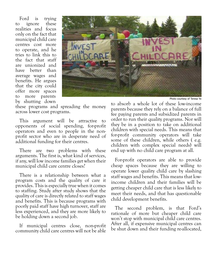Ford is trying<br>ignore these to ignore realities and focus only on the fact that municipal child care centres cost more to operate, and he tries to link this to the fact that staff are unionized and have better than average wages and benefits. He argues that the city could offer more spaces to more parents by shutting down



Photo courtesy of Teresa Ye

these programs and spreading the money across lower cost programs.

This argument will be attractive to opponents of social spending, for-profit operators and even to people in the nonprofit sector who are in desperate need of additional funding for their centres.

There are two problems with these arguments. The first is, what kind of services, if any, will low income families get when their municipal child care centre closes?

There is a relationship between what a program costs and the quality of care it provides. This is especially true when it comes to staffing. Study after study shows that the quality of care is directly related to staff wages and benefits. This is because programs with poorly paid staff have high turnover, staff are less experienced, and they are more likely to be holding down a second job.

If municipal centres close, non-profit community child care centres will not be able

to absorb a whole lot of these low-income parents because they rely on a balance of full fee paying parents and subsidized parents in order to run their quality programs. Nor will they be in a position to take on additional children with special needs. This means that for-profit community operators will take some of these children, while others ( e.g. children with complex special needs) will end up with no child care program at all.

For-profit operators are able to provide cheap spaces because they are willing to operate lower quality child care by slashing staff wages and benefits. This means that lowincome children and their families will be getting cheaper child care that is less likely to meet their needs, and that has questionable child development benefits.

The second problem, is that Ford's rationale of more but cheaper child care won't stop with municipal child care centres. After all, if expensive municipal centres can be shut down and their funding re-allocated,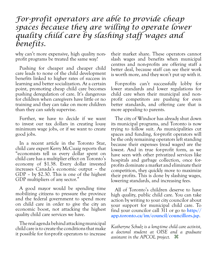### *For-profit operators are able to provide cheap spaces because they are willing to operate lower quality child care by slashing staff wages and benefits.*

why can't more expensive, high quality nonprofit programs be treated the same way?

Pushing for cheaper and cheaper child care leads to none of the child development benefits linked to higher rates of success in learning and better socialization. At a certain point, promoting cheap child care becomes pushing deregulation of care. It's dangerous for children when caregivers have little or no training and they can take on more children than they can safely supervise.

Further, we have to decide if we want to invest our tax dollars in creating lousy minimum wage jobs, or if we want to create good jobs.

In a recent article in the Toronto Star, child care expert Kerry McCuaig reports that "economists tell us every dollar spent on child care has a multiplier effect on Toronto's economy of \$1.38. Every dollar invested increases Canada's economic output – the GDP – by \$2.30. This is one of the highest GDP multipliers of any sector."

A good mayor would be spending time mobilizing citizens to pressure the province and the federal government to spend more on child care in order to give the city an economic boost, not attacking the highest quality child care services we have.

The real agenda behind attacking municipal child care is to create the conditions that make it possible for for-profit operators to increase

their market share. These operators cannot slash wages and benefits when municipal centres and non-profits are offering staff a better deal, because staff can see their work is worth more, and they won't put up with it.

For-profits can't successfully lobby for lower standards and lower regulations for child care when their municipal and nonprofit competitors are pushing for even better standards, and offering care that is more appealing to parents.

The city of Windsor has already shut down its municipal programs, and Toronto is now trying to follow suit. As municipalities cut spaces and funding, for-profit operators will be the only remaining operators left standing because their expenses (read wages) are the lowest. And in true for-profit form, as we have seen with other privatized services like hospitals and garbage collection, once forprofits dominate a market and eliminate their competition, they quickly move to maximize their profits. This is done by slashing wages, lowering standards, and increasing fees.

All of Toronto's children deserve to have high quality, public child care. You can take action by writing to your city councilor about your support for municipal child care. To find your councilor call 311 or go to **[http://](http://app.toronto.ca/im/council/councillors.jsp) [app.toronto.ca/im/council/councillors.jsp](http://app.toronto.ca/im/council/councillors.jsp)**.

*Katheryne Schulz is a long-time child care activist, a doctoral student at OISE and a graduate assistant in the APCOL project.* z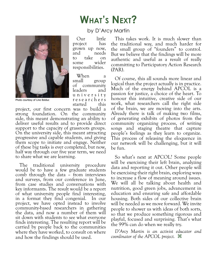## **What's Next?**



Photo courtesy of Line Bolduc

### by D'Arcy Martin

Our little<br>roiect has project grown up now, and needs to take on some wider responsibilities.

When a<br>small group group of community leaders and u n i v e r s i t y r e s e a r c h e r s started

project, our first concern was to build a strong foundation. On the community side, this meant demonstrating an ability to deliver useful results and to provide direct support to the capacity of grassroots groups. On the university side, this meant attracting progressive and capable students, and giving them scope to initiate and engage. Neither of these big tasks is ever completed, but now, half way through our five year term, we need to share what we are learning.

The traditional university procedure would be to have a few graduate students comb through the data – from interviews and surveys, from our conference in June, from case studies and conversations with key informants. The result would be a report of what university people find interesting, in a format they find congenial. In our project, we have opted instead to involve community-based researchers in gathering the data, and now a number of them will sit down with students to see what everyone finds interesting. The resulting report will be carried by people back to the communities where they have worked, to consult on where and how the findings should be used.

This takes work. It is much slower than the traditional way, and much harder for the small group of "founders" to control. But we believe that the findings will be more authentic and useful as a result of really committing to Participatory Action Research (PAR).

Of course, this all sounds more linear and logical than the project actually is in practice. Much of the energy behind APCOL is a passion for justice, a choice of the heart. To honour this intuitive, creative side of our work, what researchers call the right side of the brain, we are moving into the arts. Already there is talk of making two films, of generating exhibits of photos from the community organizing process, of writing songs and staging theatre that capture people's feelings as they learn to organize. This process of releasing the eloquence in our network will be challenging, but it will be fun.

So what's next at APCOL? Some people will be exercising their left brain, analyzing data and reporting it out. Other people will be exercising their right brain, exploring ways to increase a flow of meaning around issues. We will all be talking about health and nutrition, good green jobs, advancement in education and ensuring safe and affordable housing. Both sides of our collective brain will be needed as we move forward. We invite people to shower us with ideas of both sorts, so that we produce something rigorous and playful, focused and surprising. That's what the 99% can do when we really try.

*D'Arcy Martin is an activist educator and coordinator of the APCOL project.* z